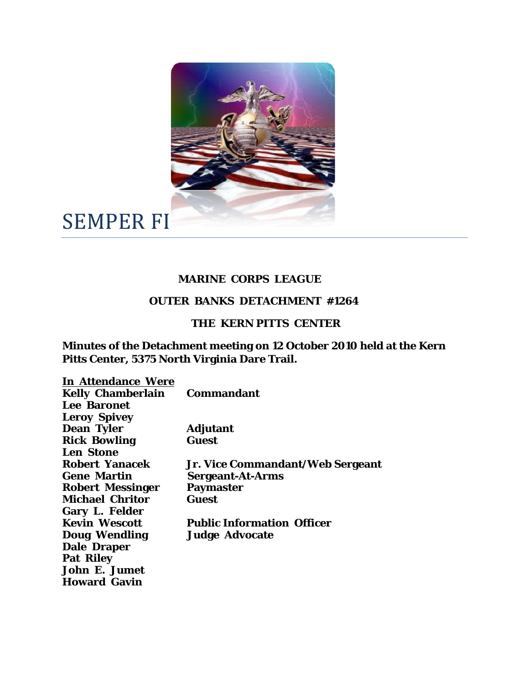

SEMPER FI

## **MARINE CORPS LEAGUE**

## **OUTER BANKS DETACHMENT #1264**

## **THE KERN PITTS CENTER**

**Minutes of the Detachment meeting on 12 October 2010 held at the Kern Pitts Center, 5375 North Virginia Dare Trail.** 

| <b>In Attendance Were</b> |                                   |
|---------------------------|-----------------------------------|
| <b>Kelly Chamberlain</b>  | <b>Commandant</b>                 |
| Lee Baronet               |                                   |
| <b>Leroy Spivey</b>       |                                   |
| <b>Dean Tyler</b>         | <b>Adjutant</b>                   |
| <b>Rick Bowling</b>       | <b>Guest</b>                      |
| <b>Len Stone</b>          |                                   |
| <b>Robert Yanacek</b>     | Jr. Vice Commandant/Web Sergeant  |
| <b>Gene Martin</b>        | <b>Sergeant-At-Arms</b>           |
| <b>Robert Messinger</b>   | <b>Paymaster</b>                  |
| <b>Michael Chritor</b>    | Guest                             |
| <b>Gary L. Felder</b>     |                                   |
| <b>Kevin Wescott</b>      | <b>Public Information Officer</b> |
| <b>Doug Wendling</b>      | <b>Judge Advocate</b>             |
| <b>Dale Draper</b>        |                                   |
| <b>Pat Riley</b>          |                                   |
| <b>John E. Jumet</b>      |                                   |
| <b>Howard Gavin</b>       |                                   |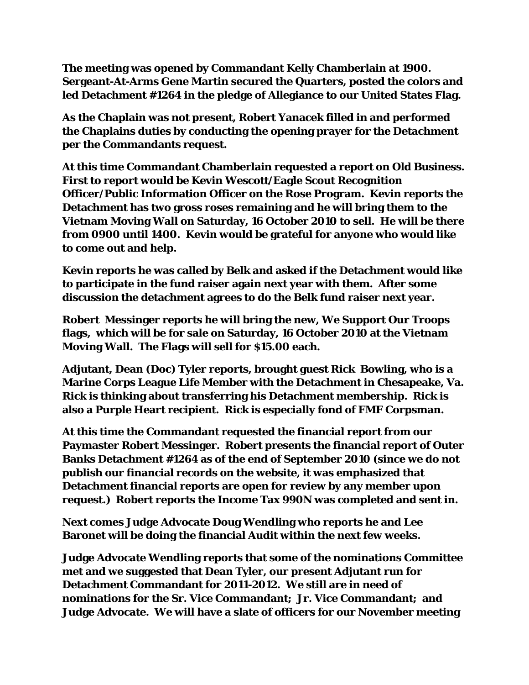**The meeting was opened by Commandant Kelly Chamberlain at 1900. Sergeant-At-Arms Gene Martin secured the Quarters, posted the colors and led Detachment #1264 in the pledge of Allegiance to our United States Flag.** 

**As the Chaplain was not present, Robert Yanacek filled in and performed the Chaplains duties by conducting the opening prayer for the Detachment per the Commandants request.** 

**At this time Commandant Chamberlain requested a report on Old Business. First to report would be Kevin Wescott/Eagle Scout Recognition Officer/Public Information Officer on the Rose Program. Kevin reports the Detachment has two gross roses remaining and he will bring them to the Vietnam Moving Wall on Saturday, 16 October 2010 to sell. He will be there from 0900 until 1400. Kevin would be grateful for anyone who would like to come out and help.** 

**Kevin reports he was called by Belk and asked if the Detachment would like to participate in the fund raiser again next year with them. After some discussion the detachment agrees to do the Belk fund raiser next year.** 

**Robert Messinger reports he will bring the new, We Support Our Troops flags, which will be for sale on Saturday, 16 October 2010 at the Vietnam Moving Wall. The Flags will sell for \$15.00 each.** 

**Adjutant, Dean (Doc) Tyler reports, brought guest Rick Bowling, who is a Marine Corps League Life Member with the Detachment in Chesapeake, Va. Rick is thinking about transferring his Detachment membership. Rick is also a Purple Heart recipient. Rick is especially fond of FMF Corpsman.** 

**At this time the Commandant requested the financial report from our Paymaster Robert Messinger. Robert presents the financial report of Outer Banks Detachment #1264 as of the end of September 2010 (since we do not publish our financial records on the website, it was emphasized that Detachment financial reports are open for review by any member upon request.) Robert reports the Income Tax 990N was completed and sent in.** 

**Next comes Judge Advocate Doug Wendling who reports he and Lee Baronet will be doing the financial Audit within the next few weeks.** 

**Judge Advocate Wendling reports that some of the nominations Committee met and we suggested that Dean Tyler, our present Adjutant run for Detachment Commandant for 2011-2012. We still are in need of nominations for the Sr. Vice Commandant; Jr. Vice Commandant; and Judge Advocate. We will have a slate of officers for our November meeting**